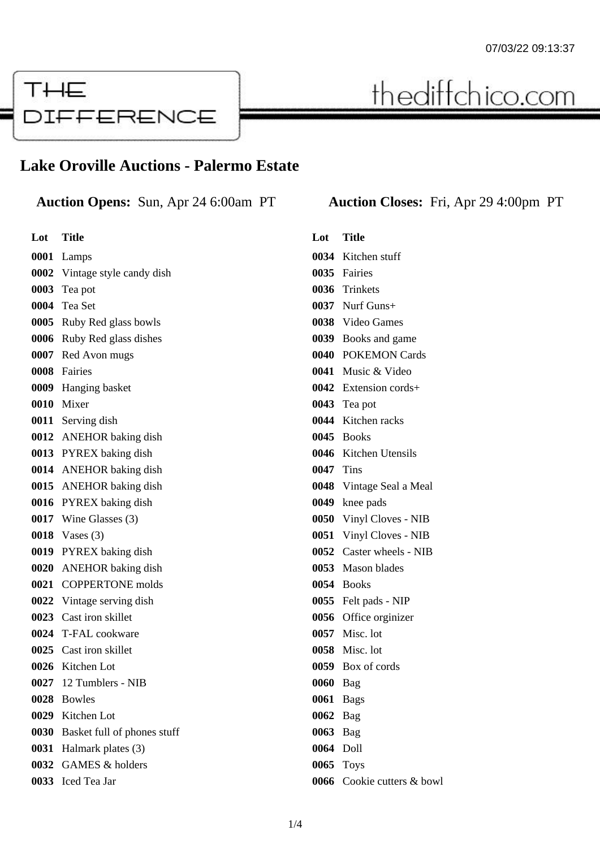## THE **FERENCE** ∩T₽

**Lake Oroville Auctions - Palermo Estate** 

## **Auction Opens:** Sun, Apr 24 6:00am PT **Auction Closes:** Fri, Apr 29 4:00pm PT

thediffchico.com

| Lot | <b>Title</b>                     | Lot              | <b>Title</b>           |
|-----|----------------------------------|------------------|------------------------|
|     | 0001 Lamps                       |                  | 0034 Kitchen stuff     |
|     | 0002 Vintage style candy dish    |                  | 0035 Fairies           |
|     | 0003 Tea pot                     |                  | 0036 Trinkets          |
|     | 0004 Tea Set                     |                  | 0037 Nurf Guns+        |
|     | 0005 Ruby Red glass bowls        |                  | 0038 Video Games       |
|     | 0006 Ruby Red glass dishes       |                  | 0039 Books and game    |
|     | 0007 Red Avon mugs               |                  | 0040 POKEMON Card      |
|     | 0008 Fairies                     |                  | 0041 Music & Video     |
|     | 0009 Hanging basket              |                  | 0042 Extension cords+  |
|     | 0010 Mixer                       |                  | 0043 Tea pot           |
|     | 0011 Serving dish                |                  | 0044 Kitchen racks     |
|     | 0012 ANEHOR baking dish          |                  | 0045 Books             |
|     | 0013 PYREX baking dish           |                  | 0046 Kitchen Utensils  |
|     | 0014 ANEHOR baking dish          | <b>0047</b> Tins |                        |
|     | 0015 ANEHOR baking dish          |                  | 0048 Vintage Seal a M  |
|     | 0016 PYREX baking dish           |                  | 0049 knee pads         |
|     | 0017 Wine Glasses (3)            |                  | 0050 Vinyl Cloves - N  |
|     | <b>0018</b> Vases (3)            |                  | 0051 Vinyl Cloves - N  |
|     | 0019 PYREX baking dish           |                  | 0052 Caster wheels - N |
|     | 0020 ANEHOR baking dish          |                  | 0053 Mason blades      |
|     | 0021 COPPERTONE molds            |                  | 0054 Books             |
|     | 0022 Vintage serving dish        |                  | 0055 Felt pads - NIP   |
|     | 0023 Cast iron skillet           |                  | 0056 Office orginizer  |
|     | 0024 T-FAL cookware              |                  | 0057 Misc. lot         |
|     | 0025 Cast iron skillet           |                  | <b>0058</b> Misc. lot  |
|     | 0026 Kitchen Lot                 |                  | 0059 Box of cords      |
|     | 0027 12 Tumblers - NIB           | 0060 Bag         |                        |
|     | 0028 Bowles                      |                  | <b>0061 Bags</b>       |
|     | 0029 Kitchen Lot                 | 0062 Bag         |                        |
|     | 0030 Basket full of phones stuff | 0063 Bag         |                        |
|     | 0031 Halmark plates (3)          | 0064 Doll        |                        |
|     | 0032 GAMES & holders             |                  | 0065 Toys              |
|     | 0033 Iced Tea Jar                |                  | 0066 Cookie cutters &  |

| 0040 | <b>POKEMON Cards</b>    |
|------|-------------------------|
| 0041 | Music & Video           |
| 0042 | Extension cords+        |
| 0043 | Tea pot                 |
| 0044 | Kitchen racks           |
| 0045 | <b>Books</b>            |
| 0046 | <b>Kitchen Utensils</b> |
| 0047 | <b>Tins</b>             |
| 0048 | Vintage Seal a Meal     |
| 0049 | knee pads               |
| 0050 | Vinyl Cloves - NIB      |
| 0051 | Vinyl Cloves - NIB      |
| 0052 | Caster wheels - NIB     |
| 0053 | <b>Mason blades</b>     |
| 0054 | <b>Books</b>            |
| 0055 | Felt pads - NIP         |
| 0056 | Office orginizer        |
| 0057 | Misc. lot               |
| 0058 | Misc. lot               |
| 0059 | Box of cords            |
| 0060 | Bag                     |
| 0061 | <b>Bags</b>             |
| 0062 | Bag                     |
| 0063 | Bag                     |
| 0064 | Doll                    |
|      | 0065 Toys               |
| 0066 | Cookie cutters & bowl   |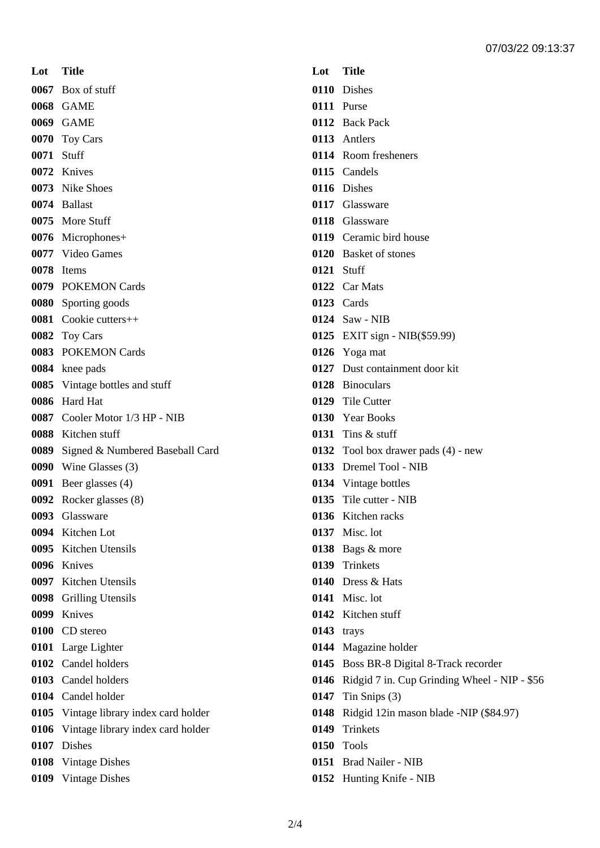**Lot Title** Box of stuff GAME GAME Toy Cars Stuff Knives Nike Shoes Ballast More Stuff Microphones+ Video Games Items POKEMON Cards Sporting goods Cookie cutters++ Toy Cars POKEMON Cards knee pads Vintage bottles and stuff Hard Hat Cooler Motor 1/3 HP - NIB Kitchen stuff Signed & Numbered Baseball Card Wine Glasses (3) Beer glasses (4) Rocker glasses (8) Glassware Kitchen Lot Kitchen Utensils Knives Kitchen Utensils Grilling Utensils Knives CD stereo Large Lighter Candel holders Candel holders Candel holder Vintage library index card holder Vintage library index card holder Dishes Vintage Dishes Vintage Dishes

| Lot Title  |                                                   |
|------------|---------------------------------------------------|
|            | 0110 Dishes                                       |
|            | 0111 Purse                                        |
|            | 0112 Back Pack                                    |
|            | 0113 Antlers                                      |
|            | 0114 Room fresheners                              |
|            | 0115 Candels                                      |
|            | 0116 Dishes                                       |
|            | 0117 Glassware                                    |
|            | 0118 Glassware                                    |
|            | 0119 Ceramic bird house                           |
|            | 0120 Basket of stones                             |
|            | 0121 Stuff                                        |
|            | 0122 Car Mats                                     |
|            | 0123 Cards                                        |
|            | 0124 Saw - NIB                                    |
|            | 0125 EXIT sign - NIB(\$59.99)                     |
|            | 0126 Yoga mat                                     |
|            | 0127 Dust containment door kit                    |
|            | 0128 Binoculars                                   |
|            | 0129 Tile Cutter                                  |
|            | 0130 Year Books                                   |
|            | 0131 Tins & stuff                                 |
|            | 0132 Tool box drawer pads $(4)$ - new             |
|            | 0133 Dremel Tool - NIB                            |
|            | 0134 Vintage bottles                              |
|            | 0135 Tile cutter - NIB                            |
|            | 0136 Kitchen racks                                |
|            | 0137 Misc. lot                                    |
|            | 0138 Bags & more                                  |
|            | 0139 Trinkets                                     |
|            | 0140 Dress & Hats                                 |
|            | 0141 Misc. lot                                    |
|            | 0142 Kitchen stuff                                |
| 0143 trays |                                                   |
|            | 0144 Magazine holder                              |
|            | 0145 Boss BR-8 Digital 8-Track recorder           |
|            | 0146 Ridgid 7 in. Cup Grinding Wheel - NIP - \$56 |
|            | $0147$ Tin Snips (3)                              |
|            | 0148 Ridgid 12in mason blade -NIP (\$84.97)       |
|            | 0149 Trinkets                                     |
|            | 0150 Tools                                        |
|            | 0151 Brad Nailer - NIB                            |
|            | 0152 Hunting Knife - NIB                          |
|            |                                                   |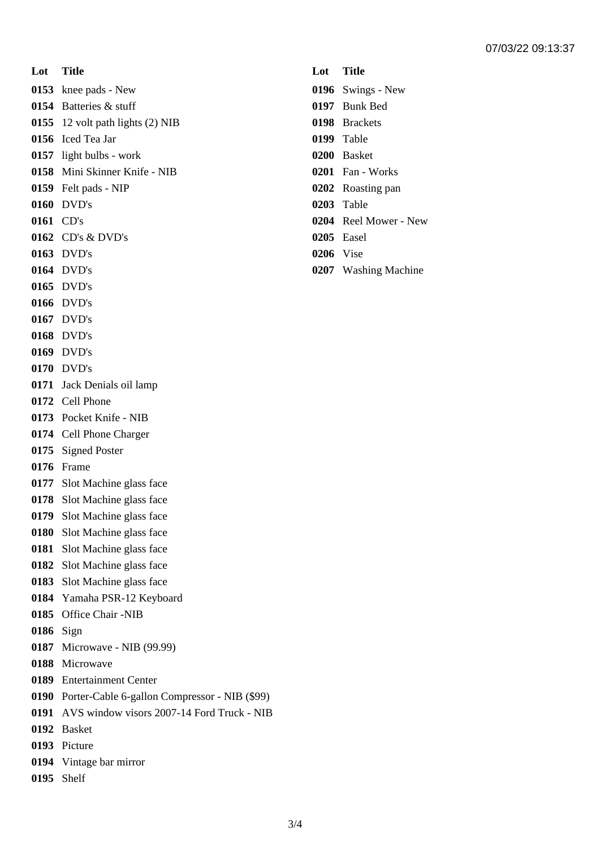**Lot Title** knee pads - New Batteries & stuff 12 volt path lights (2) NIB Iced Tea Jar light bulbs - work Mini Skinner Knife - NIB Felt pads - NIP DVD's CD's CD's & DVD's DVD's DVD's DVD's DVD's DVD's DVD's DVD's DVD's Jack Denials oil lamp Cell Phone Pocket Knife - NIB Cell Phone Charger Signed Poster Frame Slot Machine glass face Slot Machine glass face Slot Machine glass face Slot Machine glass face Slot Machine glass face Slot Machine glass face Slot Machine glass face Yamaha PSR-12 Keyboard Office Chair -NIB Sign Microwave - NIB (99.99) Microwave Entertainment Center Porter-Cable 6-gallon Compressor - NIB (\$99) AVS window visors 2007-14 Ford Truck - NIB Basket Picture

- Vintage bar mirror
- Shelf

## **Lot Title**

- Swings New
- Bunk Bed
- Brackets
- Table
- Basket
- Fan Works
- Roasting pan
- Table
- Reel Mower New
- Easel
- Vise
- Washing Machine